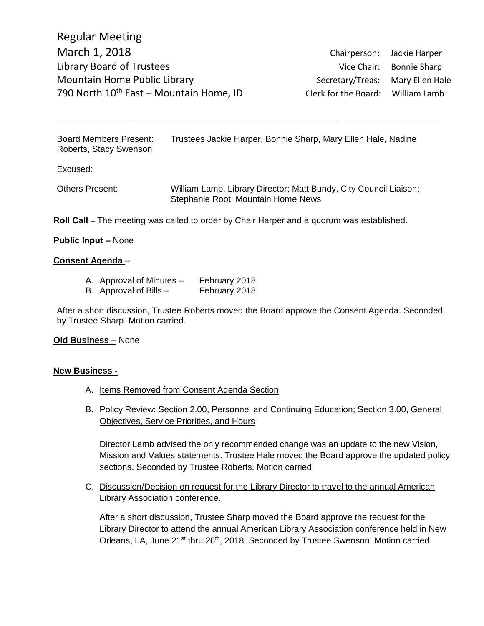Board Members Present: Trustees Jackie Harper, Bonnie Sharp, Mary Ellen Hale, Nadine Roberts, Stacy Swenson

\_\_\_\_\_\_\_\_\_\_\_\_\_\_\_\_\_\_\_\_\_\_\_\_\_\_\_\_\_\_\_\_\_\_\_\_\_\_\_\_\_\_\_\_\_\_\_\_\_\_\_\_\_\_\_\_\_\_\_\_\_\_\_\_\_\_\_\_\_\_\_\_\_\_\_\_\_\_\_\_

Excused:

Others Present: William Lamb, Library Director; Matt Bundy, City Council Liaison; Stephanie Root, Mountain Home News

**Roll Call** – The meeting was called to order by Chair Harper and a quorum was established.

### **Public Input –** None

### **Consent Agenda** –

- A. Approval of Minutes February 2018
- B. Approval of Bills February 2018

After a short discussion, Trustee Roberts moved the Board approve the Consent Agenda. Seconded by Trustee Sharp. Motion carried.

## **Old Business –** None

### **New Business -**

- A. Items Removed from Consent Agenda Section
- B. Policy Review: Section 2.00, Personnel and Continuing Education; Section 3.00, General Objectives, Service Priorities, and Hours

Director Lamb advised the only recommended change was an update to the new Vision, Mission and Values statements. Trustee Hale moved the Board approve the updated policy sections. Seconded by Trustee Roberts. Motion carried.

C. Discussion/Decision on request for the Library Director to travel to the annual American Library Association conference.

After a short discussion, Trustee Sharp moved the Board approve the request for the Library Director to attend the annual American Library Association conference held in New Orleans, LA, June 21<sup>st</sup> thru 26<sup>th</sup>, 2018. Seconded by Trustee Swenson. Motion carried.